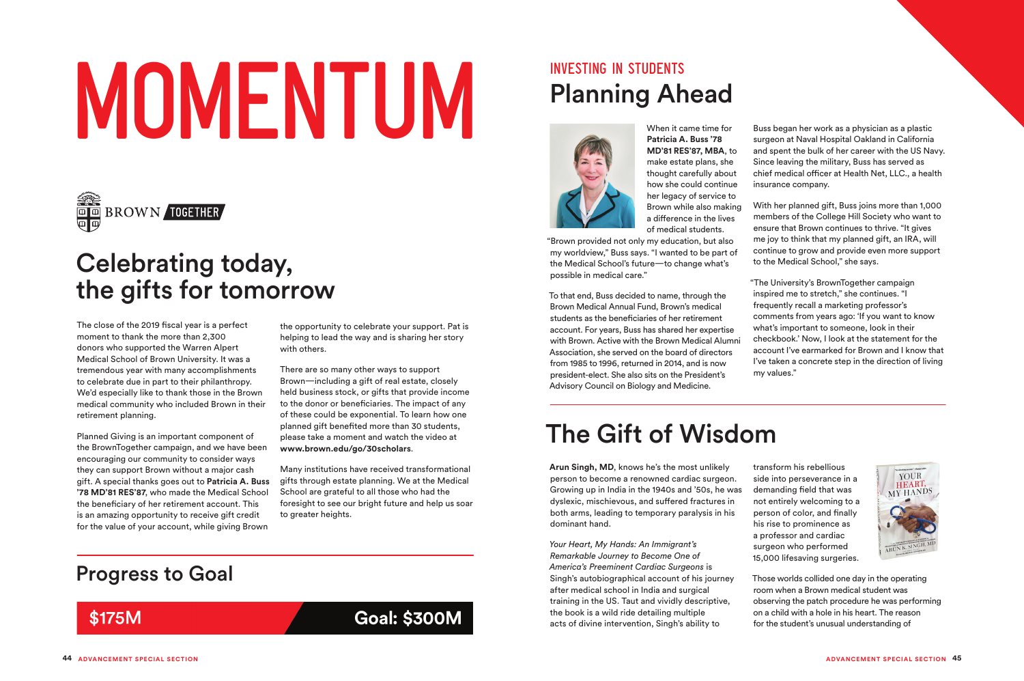**44 ADVANCEMENT SPECIAL SECTION ADVANCEMENT SPECIAL SECTION 45**

#### Progress to Goal

#### \$175M

the opportunity to celebrate your support. Pat is helping to lead the way and is sharing her story with others.

There are so many other ways to support Brown—including a gift of real estate, closely held business stock, or gifts that provide income to the donor or beneficiaries. The impact of any of these could be exponential. To learn how one planned gift benefited more than 30 students, please take a moment and watch the video at **www.brown.edu/go/30scholars**.

Many institutions have received transformational gifts through estate planning. We at the Medical School are grateful to all those who had the foresight to see our bright future and help us soar to greater heights.

# **MOMENTUM**



## Celebrating today, the gifts for tomorrow

The close of the 2019 fiscal year is a perfect moment to thank the more than 2,300 donors who supported the Warren Alpert Medical School of Brown University. It was a tremendous year with many accomplishments to celebrate due in part to their philanthropy. We'd especially like to thank those in the Brown medical community who included Brown in their retirement planning.

Planned Giving is an important component of the BrownTogether campaign, and we have been encouraging our community to consider ways they can support Brown without a major cash gift. A special thanks goes out to **Patricia A. Buss '78 MD'81 RES'87**, who made the Medical School the beneficiary of her retirement account. This is an amazing opportunity to receive gift credit for the value of your account, while giving Brown

#### INVESTING IN STUDENTS Planning Ahead



When it came time for **Patricia A. Buss '78 MD'81 RES'87, MBA**, to make estate plans, she thought carefully about how she could continue her legacy of service to Brown while also making a difference in the lives of medical students.

"Brown provided not only my education, but also my worldview," Buss says. "I wanted to be part of the Medical School's future—to change what's possible in medical care."

To that end, Buss decided to name, through the Brown Medical Annual Fund, Brown's medical students as the beneficiaries of her retirement account. For years, Buss has shared her expertise with Brown. Active with the Brown Medical Alumni Association, she served on the board of directors from 1985 to 1996, returned in 2014, and is now president-elect. She also sits on the President's Advisory Council on Biology and Medicine.

Buss began her work as a physician as a plastic surgeon at Naval Hospital Oakland in California and spent the bulk of her career with the US Navy. Since leaving the military, Buss has served as chief medical officer at Health Net, LLC., a health insurance company.

With her planned gift, Buss joins more than 1,000 members of the College Hill Society who want to ensure that Brown continues to thrive. "It gives me joy to think that my planned gift, an IRA, will continue to grow and provide even more support to the Medical School," she says.

"The University's BrownTogether campaign inspired me to stretch," she continues. "I frequently recall a marketing professor's comments from years ago: 'If you want to know what's important to someone, look in their checkbook.' Now, I look at the statement for the account I've earmarked for Brown and I know that I've taken a concrete step in the direction of living my values."

The Gift of Wisdom

**Arun Singh, MD**, knows he's the most unlikely person to become a renowned cardiac surgeon. Growing up in India in the 1940s and '50s, he was dyslexic, mischievous, and suffered fractures in both arms, leading to temporary paralysis in his

dominant hand.

**Goal: \$300M** 

*Your Heart, My Hands: An Immigrant's Remarkable Journey to Become One of America's Preeminent Cardiac Surgeons* is Singh's autobiographical account of his journey after medical school in India and surgical training in the US. Taut and vividly descriptive, the book is a wild ride detailing multiple acts of divine intervention, Singh's ability to

transform his rebellious side into perseverance in a demanding field that was not entirely welcoming to a person of color, and finally his rise to prominence as a professor and cardiac surgeon who performed 15,000 lifesaving surgeries.



Those worlds collided one day in the operating room when a Brown medical student was observing the patch procedure he was performing on a child with a hole in his heart. The reason for the student's unusual understanding of